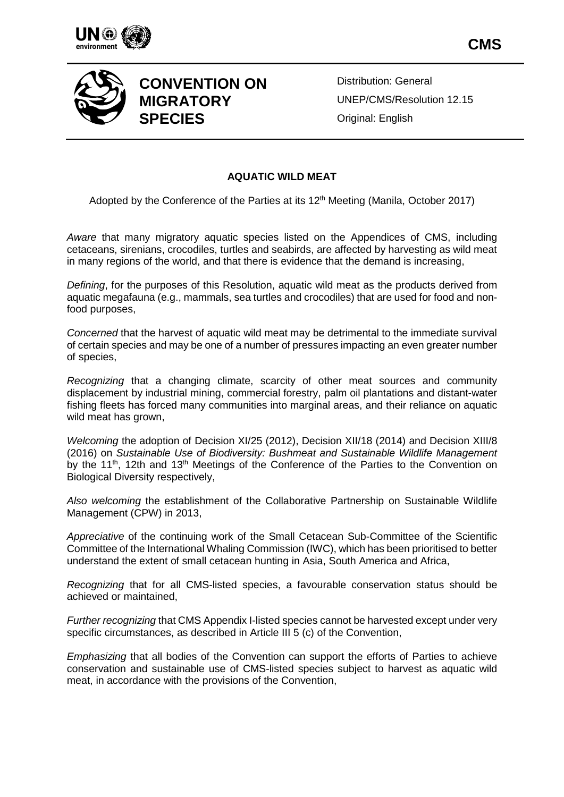





## **CONVENTION ON MIGRATORY SPECIES**

Distribution: General UNEP/CMS/Resolution 12.15 Original: English

## **AQUATIC WILD MEAT**

Adopted by the Conference of the Parties at its 12<sup>th</sup> Meeting (Manila, October 2017)

*Aware* that many migratory aquatic species listed on the Appendices of CMS, including cetaceans, sirenians, crocodiles, turtles and seabirds, are affected by harvesting as wild meat in many regions of the world, and that there is evidence that the demand is increasing,

*Defining*, for the purposes of this Resolution, aquatic wild meat as the products derived from aquatic megafauna (e.g., mammals, sea turtles and crocodiles) that are used for food and nonfood purposes,

*Concerned* that the harvest of aquatic wild meat may be detrimental to the immediate survival of certain species and may be one of a number of pressures impacting an even greater number of species,

*Recognizing* that a changing climate, scarcity of other meat sources and community displacement by industrial mining, commercial forestry, palm oil plantations and distant-water fishing fleets has forced many communities into marginal areas, and their reliance on aquatic wild meat has grown,

*Welcoming* the adoption of Decision XI/25 (2012), Decision XII/18 (2014) and Decision XIII/8 (2016) on *Sustainable Use of Biodiversity: Bushmeat and Sustainable Wildlife Management* by the 11<sup>th</sup>, 12th and 13<sup>th</sup> Meetings of the Conference of the Parties to the Convention on Biological Diversity respectively,

*Also welcoming* the establishment of the Collaborative Partnership on Sustainable Wildlife Management (CPW) in 2013,

*Appreciative* of the continuing work of the Small Cetacean Sub-Committee of the Scientific Committee of the International Whaling Commission (IWC), which has been prioritised to better understand the extent of small cetacean hunting in Asia, South America and Africa,

*Recognizing* that for all CMS-listed species, a favourable conservation status should be achieved or maintained,

*Further recognizing* that CMS Appendix I-listed species cannot be harvested except under very specific circumstances, as described in Article III 5 (c) of the Convention,

*Emphasizing* that all bodies of the Convention can support the efforts of Parties to achieve conservation and sustainable use of CMS-listed species subject to harvest as aquatic wild meat, in accordance with the provisions of the Convention,